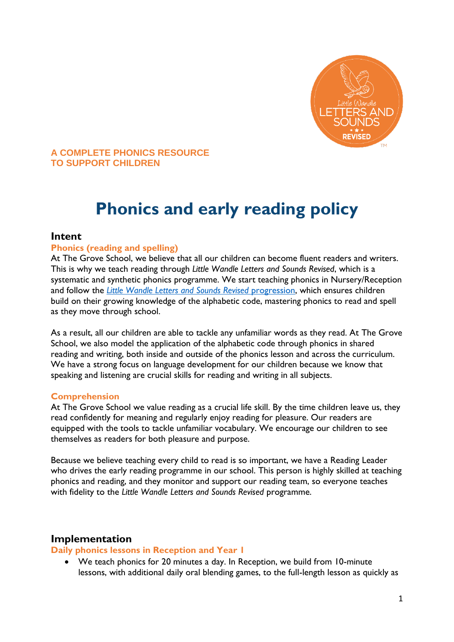

#### **A COMPLETE PHONICS RESOURCE TO SUPPORT CHILDREN**

# **Phonics and early reading policy**

#### **Intent**

#### **Phonics (reading and spelling)**

At The Grove School, we believe that all our children can become fluent readers and writers. This is why we teach reading through *Little Wandle Letters and Sounds Revised*, which is a systematic and synthetic phonics programme. We start teaching phonics in Nursery/Reception and follow the *[Little Wandle Letters and Sounds Revised](https://wandlelearningtrust.sharepoint.com/sites/WTSA2/Shared%20Documents/Forms/AllItems.aspx?csf=1&web=1&e=dA5Kg8&cid=c07c4b6e%2D7eff%2D4834%2Db0a2%2De34e77f1195a&FolderCTID=0x0120002B68E4606EDEEB42917E483D1520364F&id=%2Fsites%2FWTSA2%2FShared%20Documents%2FLetters%20and%20Sounds%2FLetters%20and%20Sounds%20Revised%2FSigned%20off%20files%2FProgramme%20Overview%5FReception%20and%20Year%201%2Epdf&parent=%2Fsites%2FWTSA2%2FShared%20Documents%2FLetters%20and%20Sounds%2FLetters%20and%20Sounds%20Revised%2FSigned%20off%20files)* progression, which ensures children build on their growing knowledge of the alphabetic code, mastering phonics to read and spell as they move through school.

As a result, all our children are able to tackle any unfamiliar words as they read. At The Grove School, we also model the application of the alphabetic code through phonics in shared reading and writing, both inside and outside of the phonics lesson and across the curriculum. We have a strong focus on language development for our children because we know that speaking and listening are crucial skills for reading and writing in all subjects.

#### **Comprehension**

At The Grove School we value reading as a crucial life skill. By the time children leave us, they read confidently for meaning and regularly enjoy reading for pleasure. Our readers are equipped with the tools to tackle unfamiliar vocabulary. We encourage our children to see themselves as readers for both pleasure and purpose.

Because we believe teaching every child to read is so important, we have a Reading Leader who drives the early reading programme in our school. This person is highly skilled at teaching phonics and reading, and they monitor and support our reading team, so everyone teaches with fidelity to the *Little Wandle Letters and Sounds Revised* programme.

# **Implementation**

#### **Daily phonics lessons in Reception and Year 1**

 We teach phonics for 20 minutes a day. In Reception, we build from 10-minute lessons, with additional daily oral blending games, to the full-length lesson as quickly as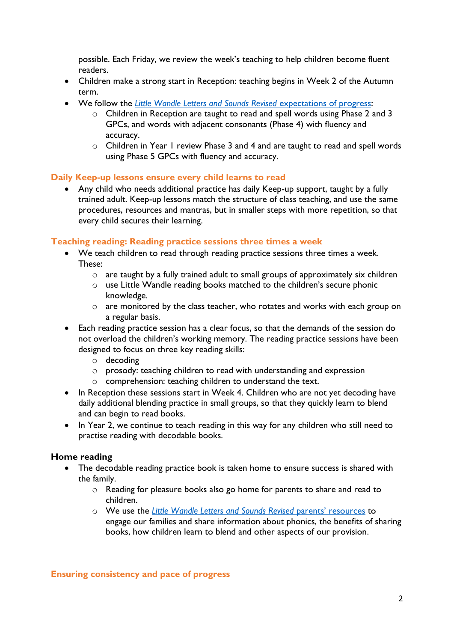possible. Each Friday, we review the week's teaching to help children become fluent readers.

- Children make a strong start in Reception: teaching begins in Week 2 of the Autumn term.
- We follow the *[Little Wandle Letters and Sounds Revised](https://wandlelearningtrust.sharepoint.com/sites/WTSA2/Shared%20Documents/Forms/AllItems.aspx?csf=1&web=1&e=dA5Kg8&cid=c07c4b6e%2D7eff%2D4834%2Db0a2%2De34e77f1195a&FolderCTID=0x0120002B68E4606EDEEB42917E483D1520364F&id=%2Fsites%2FWTSA2%2FShared%20Documents%2FLetters%20and%20Sounds%2FLetters%20and%20Sounds%20Revised%2FSigned%20off%20files%2FProgramme%20Overview%5FReception%20and%20Year%201%2Epdf&parent=%2Fsites%2FWTSA2%2FShared%20Documents%2FLetters%20and%20Sounds%2FLetters%20and%20Sounds%20Revised%2FSigned%20off%20files)* expectations of progress:
	- o Children in Reception are taught to read and spell words using Phase 2 and 3 GPCs, and words with adjacent consonants (Phase 4) with fluency and accuracy.
	- o Children in Year 1 review Phase 3 and 4 and are taught to read and spell words using Phase 5 GPCs with fluency and accuracy.

#### **Daily Keep-up lessons ensure every child learns to read**

 Any child who needs additional practice has daily Keep-up support, taught by a fully trained adult. Keep-up lessons match the structure of class teaching, and use the same procedures, resources and mantras, but in smaller steps with more repetition, so that every child secures their learning.

#### **Teaching reading: Reading practice sessions three times a week**

- We teach children to read through reading practice sessions three times a week. These:
	- o are taught by a fully trained adult to small groups of approximately six children
	- o use Little Wandle reading books matched to the children's secure phonic knowledge.
	- o are monitored by the class teacher, who rotates and works with each group on a regular basis.
- Each reading practice session has a clear focus, so that the demands of the session do not overload the children's working memory. The reading practice sessions have been designed to focus on three key reading skills:
	- o decoding
	- o prosody: teaching children to read with understanding and expression
	- o comprehension: teaching children to understand the text.
- In Reception these sessions start in Week 4. Children who are not yet decoding have daily additional blending practice in small groups, so that they quickly learn to blend and can begin to read books.
- In Year 2, we continue to teach reading in this way for any children who still need to practise reading with decodable books.

#### **Home reading**

- The decodable reading practice book is taken home to ensure success is shared with the family.
	- $\circ$  Reading for pleasure books also go home for parents to share and read to children.
	- o We use the *[Little Wandle Letters and Sounds Revised](https://www.littlewandlelettersandsounds.org.uk/resources/for-parents/)* parents' resources to engage our families and share information about phonics, the benefits of sharing books, how children learn to blend and other aspects of our provision.

**Ensuring consistency and pace of progress**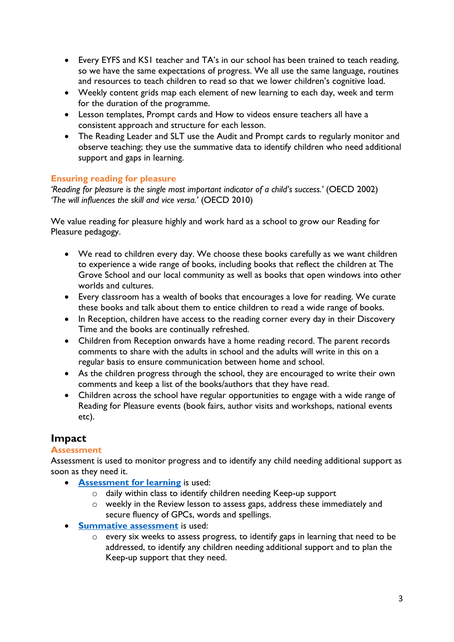- Every EYFS and KS1 teacher and TA's in our school has been trained to teach reading, so we have the same expectations of progress. We all use the same language, routines and resources to teach children to read so that we lower children's cognitive load.
- Weekly content grids map each element of new learning to each day, week and term for the duration of the programme.
- Lesson templates, Prompt cards and How to videos ensure teachers all have a consistent approach and structure for each lesson.
- The Reading Leader and SLT use the Audit and Prompt cards to regularly monitor and observe teaching; they use the summative data to identify children who need additional support and gaps in learning.

# **Ensuring reading for pleasure**

*'Reading for pleasure is the single most important indicator of a child's success.'* (OECD 2002) *'The will influences the skill and vice versa.'* (OECD 2010)

We value reading for pleasure highly and work hard as a school to grow our Reading for Pleasure pedagogy.

- We read to children every day. We choose these books carefully as we want children to experience a wide range of books, including books that reflect the children at The Grove School and our local community as well as books that open windows into other worlds and cultures.
- Every classroom has a wealth of books that encourages a love for reading. We curate these books and talk about them to entice children to read a wide range of books.
- In Reception, children have access to the reading corner every day in their Discovery Time and the books are continually refreshed.
- Children from Reception onwards have a home reading record. The parent records comments to share with the adults in school and the adults will write in this on a regular basis to ensure communication between home and school.
- As the children progress through the school, they are encouraged to write their own comments and keep a list of the books/authors that they have read.
- Children across the school have regular opportunities to engage with a wide range of Reading for Pleasure events (book fairs, author visits and workshops, national events etc).

# **Impact**

# **Assessment**

Assessment is used to monitor progress and to identify any child needing additional support as soon as they need it.

- **[Assessment for learning](https://www.littlewandlelettersandsounds.org.uk/wp-content/uploads/2021/03/LS-KEY-GUIDANCE-GETTING-STARTED-ASSESSMENT-FINAL.pdf)** is used:
	- o daily within class to identify children needing Keep-up support
	- o weekly in the Review lesson to assess gaps, address these immediately and secure fluency of GPCs, words and spellings.
- **•** [Summative assessment](https://www.littlewandlelettersandsounds.org.uk/resources/my-letters-and-sounds/assessment-tools/) is used:
	- o every six weeks to assess progress, to identify gaps in learning that need to be addressed, to identify any children needing additional support and to plan the Keep-up support that they need.